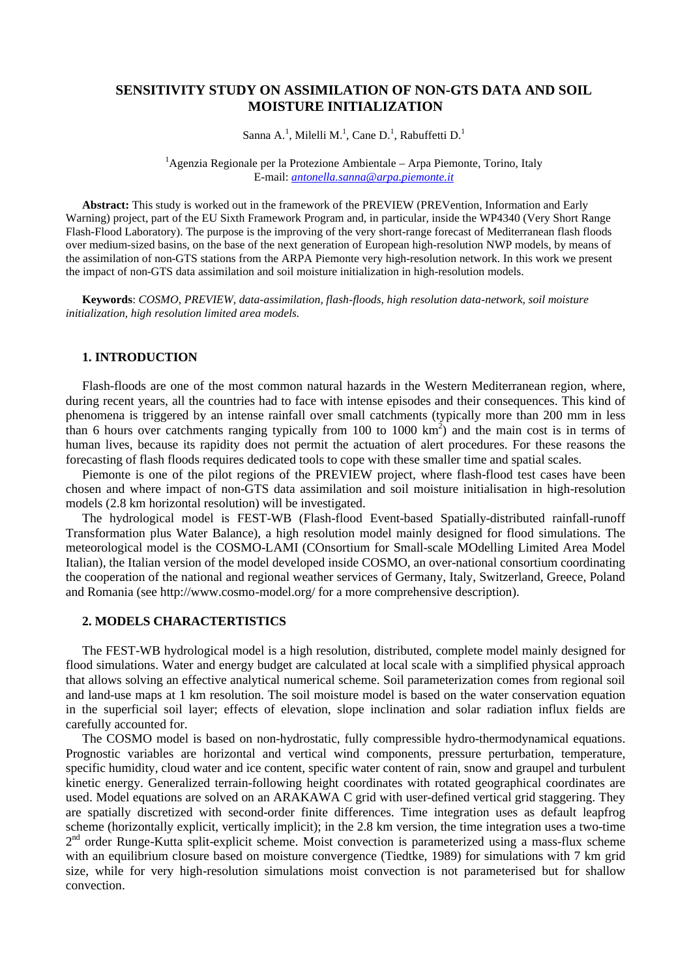# **SENSITIVITY STUDY ON ASSIMILATION OF NON-GTS DATA AND SOIL MOISTURE INITIALIZATION**

Sanna A.<sup>1</sup>, Milelli M.<sup>1</sup>, Cane D.<sup>1</sup>, Rabuffetti D.<sup>1</sup>

 ${}^{1}$ Agenzia Regionale per la Protezione Ambientale – Arpa Piemonte, Torino, Italy E-mail: *antonella.sanna@arpa.piemonte.it*

**Abstract:** This study is worked out in the framework of the PREVIEW (PREVention, Information and Early Warning) project, part of the EU Sixth Framework Program and, in particular, inside the WP4340 (Very Short Range Flash-Flood Laboratory). The purpose is the improving of the very short-range forecast of Mediterranean flash floods over medium-sized basins, on the base of the next generation of European high-resolution NWP models, by means of the assimilation of non-GTS stations from the ARPA Piemonte very high-resolution network. In this work we present the impact of non-GTS data assimilation and soil moisture initialization in high-resolution models.

**Keywords**: *COSMO*, *PREVIEW, data-assimilation, flash-floods, high resolution data-network, soil moisture initialization, high resolution limited area models.*

## **1. INTRODUCTION**

Flash-floods are one of the most common natural hazards in the Western Mediterranean region, where, during recent years, all the countries had to face with intense episodes and their consequences. This kind of phenomena is triggered by an intense rainfall over small catchments (typically more than 200 mm in less than 6 hours over catchments ranging typically from 100 to 1000  $\text{km}^2$ ) and the main cost is in terms of human lives, because its rapidity does not permit the actuation of alert procedures. For these reasons the forecasting of flash floods requires dedicated tools to cope with these smaller time and spatial scales.

Piemonte is one of the pilot regions of the PREVIEW project, where flash-flood test cases have been chosen and where impact of non-GTS data assimilation and soil moisture initialisation in high-resolution models (2.8 km horizontal resolution) will be investigated.

The hydrological model is FEST-WB (Flash-flood Event-based Spatially-distributed rainfall-runoff Transformation plus Water Balance), a high resolution model mainly designed for flood simulations. The meteorological model is the COSMO-LAMI (COnsortium for Small-scale MOdelling Limited Area Model Italian), the Italian version of the model developed inside COSMO, an over-national consortium coordinating the cooperation of the national and regional weather services of Germany, Italy, Switzerland, Greece, Poland and Romania (see http://www.cosmo-model.org/ for a more comprehensive description).

### **2. MODELS CHARACTERTISTICS**

The FEST-WB hydrological model is a high resolution, distributed, complete model mainly designed for flood simulations. Water and energy budget are calculated at local scale with a simplified physical approach that allows solving an effective analytical numerical scheme. Soil parameterization comes from regional soil and land-use maps at 1 km resolution. The soil moisture model is based on the water conservation equation in the superficial soil layer; effects of elevation, slope inclination and solar radiation influx fields are carefully accounted for.

The COSMO model is based on non-hydrostatic, fully compressible hydro-thermodynamical equations. Prognostic variables are horizontal and vertical wind components, pressure perturbation, temperature, specific humidity, cloud water and ice content, specific water content of rain, snow and graupel and turbulent kinetic energy. Generalized terrain-following height coordinates with rotated geographical coordinates are used. Model equations are solved on an ARAKAWA C grid with user-defined vertical grid staggering. They are spatially discretized with second-order finite differences. Time integration uses as default leapfrog scheme (horizontally explicit, vertically implicit); in the 2.8 km version, the time integration uses a two-time 2<sup>nd</sup> order Runge-Kutta split-explicit scheme. Moist convection is parameterized using a mass-flux scheme with an equilibrium closure based on moisture convergence (Tiedtke, 1989) for simulations with 7 km grid size, while for very high-resolution simulations moist convection is not parameterised but for shallow convection.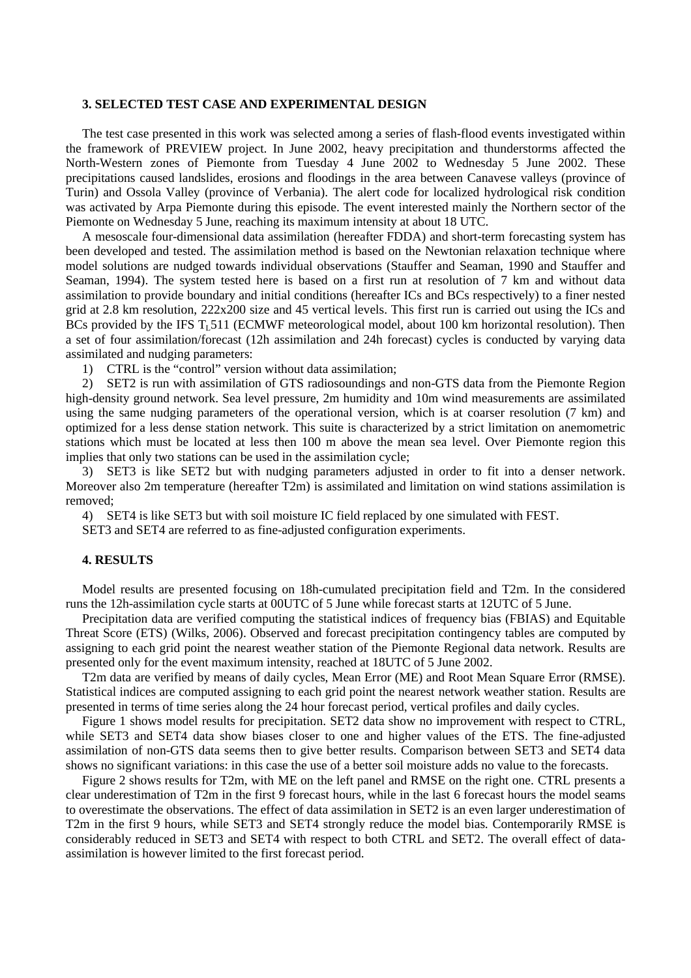#### **3. SELECTED TEST CASE AND EXPERIMENTAL DESIGN**

The test case presented in this work was selected among a series of flash-flood events investigated within the framework of PREVIEW project. In June 2002, heavy precipitation and thunderstorms affected the North-Western zones of Piemonte from Tuesday 4 June 2002 to Wednesday 5 June 2002. These precipitations caused landslides, erosions and floodings in the area between Canavese valleys (province of Turin) and Ossola Valley (province of Verbania). The alert code for localized hydrological risk condition was activated by Arpa Piemonte during this episode. The event interested mainly the Northern sector of the Piemonte on Wednesday 5 June, reaching its maximum intensity at about 18 UTC.

A mesoscale four-dimensional data assimilation (hereafter FDDA) and short-term forecasting system has been developed and tested. The assimilation method is based on the Newtonian relaxation technique where model solutions are nudged towards individual observations (Stauffer and Seaman, 1990 and Stauffer and Seaman, 1994). The system tested here is based on a first run at resolution of 7 km and without data assimilation to provide boundary and initial conditions (hereafter ICs and BCs respectively) to a finer nested grid at 2.8 km resolution, 222x200 size and 45 vertical levels. This first run is carried out using the ICs and BCs provided by the IFS  $T<sub>1</sub>511$  (ECMWF meteorological model, about 100 km horizontal resolution). Then a set of four assimilation/forecast (12h assimilation and 24h forecast) cycles is conducted by varying data assimilated and nudging parameters:

1) CTRL is the "control" version without data assimilation;

2) SET2 is run with assimilation of GTS radiosoundings and non-GTS data from the Piemonte Region high-density ground network. Sea level pressure, 2m humidity and 10m wind measurements are assimilated using the same nudging parameters of the operational version, which is at coarser resolution (7 km) and optimized for a less dense station network. This suite is characterized by a strict limitation on anemometric stations which must be located at less then 100 m above the mean sea level. Over Piemonte region this implies that only two stations can be used in the assimilation cycle;

3) SET3 is like SET2 but with nudging parameters adjusted in order to fit into a denser network. Moreover also 2m temperature (hereafter T2m) is assimilated and limitation on wind stations assimilation is removed;

4) SET4 is like SET3 but with soil moisture IC field replaced by one simulated with FEST.

SET3 and SET4 are referred to as fine-adjusted configuration experiments.

#### **4. RESULTS**

Model results are presented focusing on 18h-cumulated precipitation field and T2m. In the considered runs the 12h-assimilation cycle starts at 00UTC of 5 June while forecast starts at 12UTC of 5 June.

Precipitation data are verified computing the statistical indices of frequency bias (FBIAS) and Equitable Threat Score (ETS) (Wilks, 2006). Observed and forecast precipitation contingency tables are computed by assigning to each grid point the nearest weather station of the Piemonte Regional data network. Results are presented only for the event maximum intensity, reached at 18UTC of 5 June 2002.

T2m data are verified by means of daily cycles, Mean Error (ME) and Root Mean Square Error (RMSE). Statistical indices are computed assigning to each grid point the nearest network weather station. Results are presented in terms of time series along the 24 hour forecast period, vertical profiles and daily cycles.

Figure 1 shows model results for precipitation. SET2 data show no improvement with respect to CTRL, while SET3 and SET4 data show biases closer to one and higher values of the ETS. The fine-adjusted assimilation of non-GTS data seems then to give better results. Comparison between SET3 and SET4 data shows no significant variations: in this case the use of a better soil moisture adds no value to the forecasts.

Figure 2 shows results for T2m, with ME on the left panel and RMSE on the right one. CTRL presents a clear underestimation of T2m in the first 9 forecast hours, while in the last 6 forecast hours the model seams to overestimate the observations. The effect of data assimilation in SET2 is an even larger underestimation of T2m in the first 9 hours, while SET3 and SET4 strongly reduce the model bias. Contemporarily RMSE is considerably reduced in SET3 and SET4 with respect to both CTRL and SET2. The overall effect of dataassimilation is however limited to the first forecast period.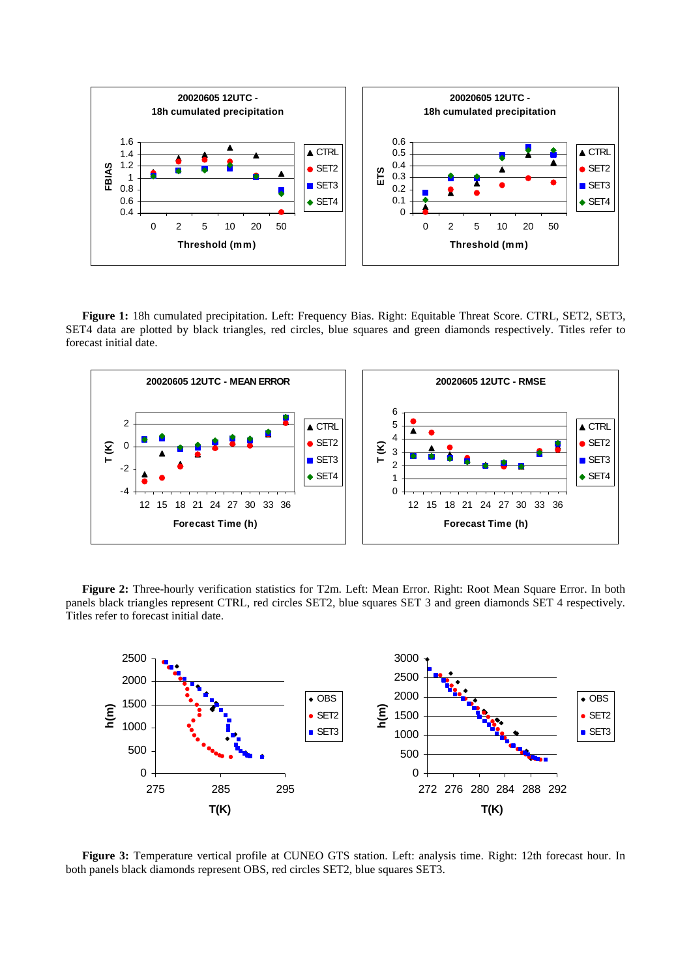

**Figure 1:** 18h cumulated precipitation. Left: Frequency Bias. Right: Equitable Threat Score. CTRL, SET2, SET3, SET4 data are plotted by black triangles, red circles, blue squares and green diamonds respectively. Titles refer to forecast initial date.



**Figure 2:** Three-hourly verification statistics for T2m. Left: Mean Error. Right: Root Mean Square Error. In both panels black triangles represent CTRL, red circles SET2, blue squares SET 3 and green diamonds SET 4 respectively. Titles refer to forecast initial date.



**Figure 3:** Temperature vertical profile at CUNEO GTS station. Left: analysis time. Right: 12th forecast hour. In both panels black diamonds represent OBS, red circles SET2, blue squares SET3.